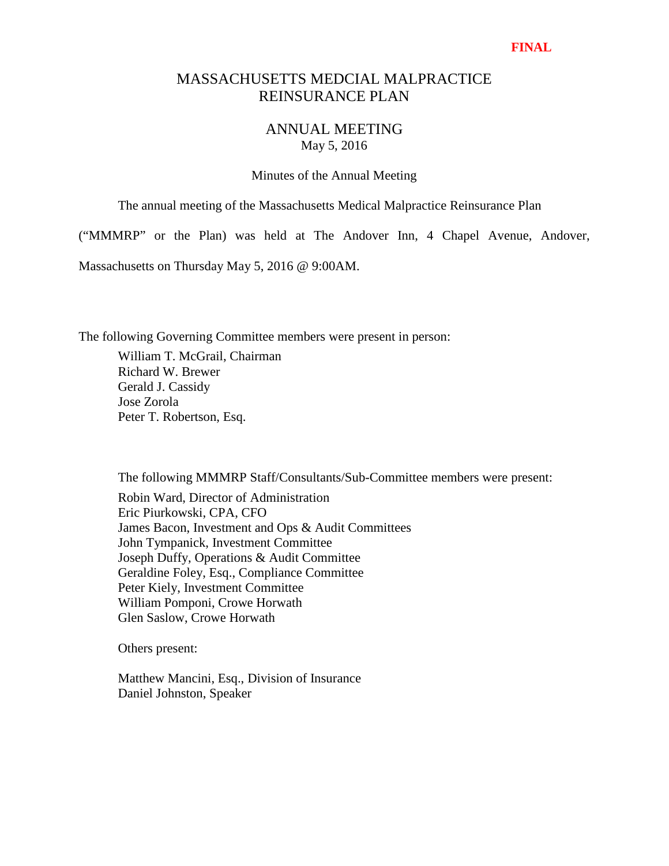### **FINAL**

# MASSACHUSETTS MEDCIAL MALPRACTICE REINSURANCE PLAN

# ANNUAL MEETING May 5, 2016

Minutes of the Annual Meeting

The annual meeting of the Massachusetts Medical Malpractice Reinsurance Plan

("MMMRP" or the Plan) was held at The Andover Inn, 4 Chapel Avenue, Andover,

Massachusetts on Thursday May 5, 2016 @ 9:00AM.

The following Governing Committee members were present in person:

 William T. McGrail, Chairman Richard W. Brewer Gerald J. Cassidy Jose Zorola Peter T. Robertson, Esq.

The following MMMRP Staff/Consultants/Sub-Committee members were present:

 Robin Ward, Director of Administration Eric Piurkowski, CPA, CFO James Bacon, Investment and Ops & Audit Committees John Tympanick, Investment Committee Joseph Duffy, Operations & Audit Committee Geraldine Foley, Esq., Compliance Committee Peter Kiely, Investment Committee William Pomponi, Crowe Horwath Glen Saslow, Crowe Horwath

Others present:

 Matthew Mancini, Esq., Division of Insurance Daniel Johnston, Speaker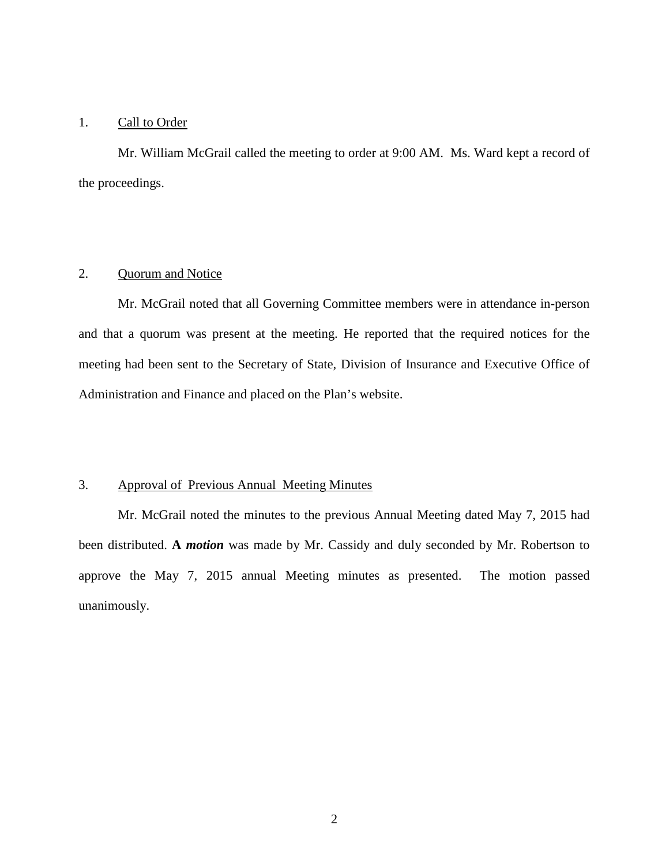### 1. Call to Order

Mr. William McGrail called the meeting to order at 9:00 AM. Ms. Ward kept a record of the proceedings.

## 2. Quorum and Notice

Mr. McGrail noted that all Governing Committee members were in attendance in-person and that a quorum was present at the meeting. He reported that the required notices for the meeting had been sent to the Secretary of State, Division of Insurance and Executive Office of Administration and Finance and placed on the Plan's website.

### 3. Approval of Previous Annual Meeting Minutes

Mr. McGrail noted the minutes to the previous Annual Meeting dated May 7, 2015 had been distributed. **A** *motion* was made by Mr. Cassidy and duly seconded by Mr. Robertson to approve the May 7, 2015 annual Meeting minutes as presented. The motion passed unanimously.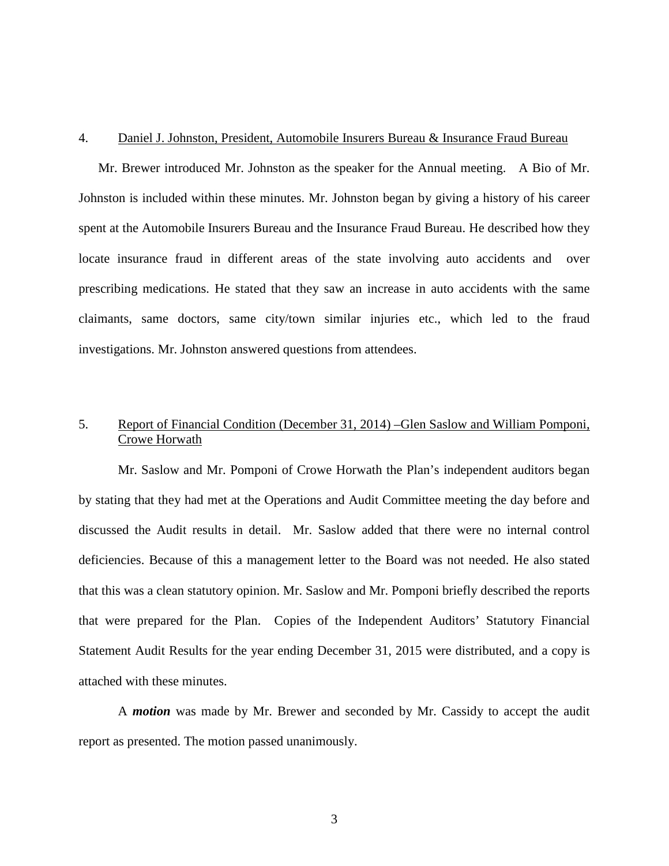#### 4. Daniel J. Johnston, President, Automobile Insurers Bureau & Insurance Fraud Bureau

Mr. Brewer introduced Mr. Johnston as the speaker for the Annual meeting. A Bio of Mr. Johnston is included within these minutes. Mr. Johnston began by giving a history of his career spent at the Automobile Insurers Bureau and the Insurance Fraud Bureau. He described how they locate insurance fraud in different areas of the state involving auto accidents and over prescribing medications. He stated that they saw an increase in auto accidents with the same claimants, same doctors, same city/town similar injuries etc., which led to the fraud investigations. Mr. Johnston answered questions from attendees.

# 5. Report of Financial Condition (December 31, 2014) –Glen Saslow and William Pomponi, Crowe Horwath

Mr. Saslow and Mr. Pomponi of Crowe Horwath the Plan's independent auditors began by stating that they had met at the Operations and Audit Committee meeting the day before and discussed the Audit results in detail. Mr. Saslow added that there were no internal control deficiencies. Because of this a management letter to the Board was not needed. He also stated that this was a clean statutory opinion. Mr. Saslow and Mr. Pomponi briefly described the reports that were prepared for the Plan. Copies of the Independent Auditors' Statutory Financial Statement Audit Results for the year ending December 31, 2015 were distributed, and a copy is attached with these minutes.

A *motion* was made by Mr. Brewer and seconded by Mr. Cassidy to accept the audit report as presented. The motion passed unanimously.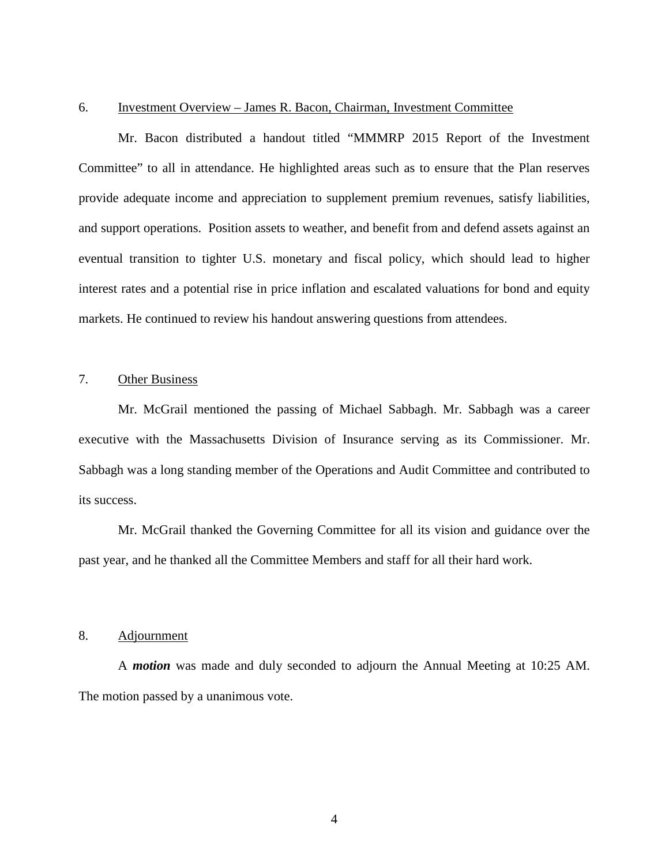### 6. Investment Overview – James R. Bacon, Chairman, Investment Committee

 Mr. Bacon distributed a handout titled "MMMRP 2015 Report of the Investment Committee" to all in attendance. He highlighted areas such as to ensure that the Plan reserves provide adequate income and appreciation to supplement premium revenues, satisfy liabilities, and support operations. Position assets to weather, and benefit from and defend assets against an eventual transition to tighter U.S. monetary and fiscal policy, which should lead to higher interest rates and a potential rise in price inflation and escalated valuations for bond and equity markets. He continued to review his handout answering questions from attendees.

### 7. Other Business

Mr. McGrail mentioned the passing of Michael Sabbagh. Mr. Sabbagh was a career executive with the Massachusetts Division of Insurance serving as its Commissioner. Mr. Sabbagh was a long standing member of the Operations and Audit Committee and contributed to its success.

 Mr. McGrail thanked the Governing Committee for all its vision and guidance over the past year, and he thanked all the Committee Members and staff for all their hard work.

### 8. Adjournment

A *motion* was made and duly seconded to adjourn the Annual Meeting at 10:25 AM. The motion passed by a unanimous vote.